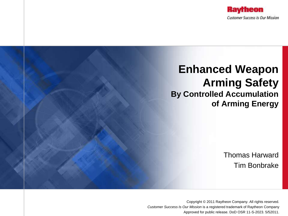

# **Enhanced Weapon Arming Safety By Controlled Accumulation of Arming Energy**

Thomas Harward Tim Bonbrake

Copyright © 2011 Raytheon Company. All rights reserved. *Customer Success Is Our Mission* is a registered trademark of Raytheon Company Approved for public release. DoD OSR 11-S-2023. 5/52011.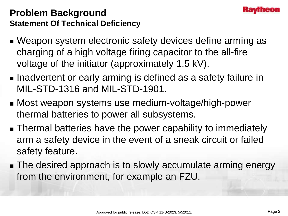

## **Problem Background Statement Of Technical Deficiency**

- Weapon system electronic safety devices define arming as charging of a high voltage firing capacitor to the all-fire voltage of the initiator (approximately 1.5 kV).
- **Inadvertent or early arming is defined as a safety failure in** MIL-STD-1316 and MIL-STD-1901.
- Most weapon systems use medium-voltage/high-power thermal batteries to power all subsystems.
- Thermal batteries have the power capability to immediately arm a safety device in the event of a sneak circuit or failed safety feature.
- The desired approach is to slowly accumulate arming energy from the environment, for example an FZU.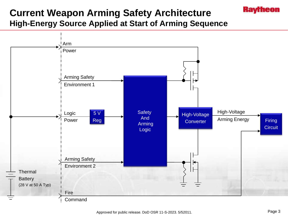## **Current Weapon Arming Safety Architecture High-Energy Source Applied at Start of Arming Sequence**



Kayrneon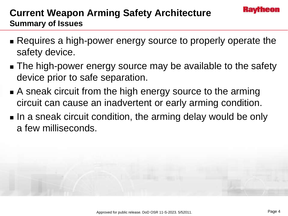## **Current Weapon Arming Safety Architecture Summary of Issues**

- Requires a high-power energy source to properly operate the safety device.
- The high-power energy source may be available to the safety device prior to safe separation.
- A sneak circuit from the high energy source to the arming circuit can cause an inadvertent or early arming condition.
- In a sneak circuit condition, the arming delay would be only a few milliseconds.

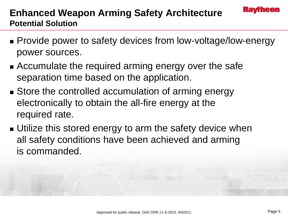

## **Enhanced Weapon Arming Safety Architecture Potential Solution**

- **Provide power to safety devices from low-voltage/low-energy** power sources.
- Accumulate the required arming energy over the safe separation time based on the application.
- Store the controlled accumulation of arming energy electronically to obtain the all-fire energy at the required rate.
- **Utilize this stored energy to arm the safety device when** all safety conditions have been achieved and arming is commanded.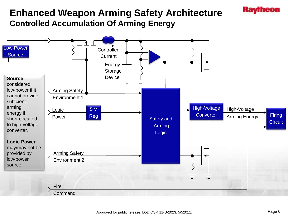## **Enhanced Weapon Arming Safety Architecture Controlled Accumulation Of Arming Energy**



Kayrneon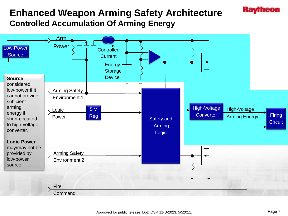## **Enhanced Weapon Arming Safety Architecture Controlled Accumulation Of Arming Energy**



Kavfheon